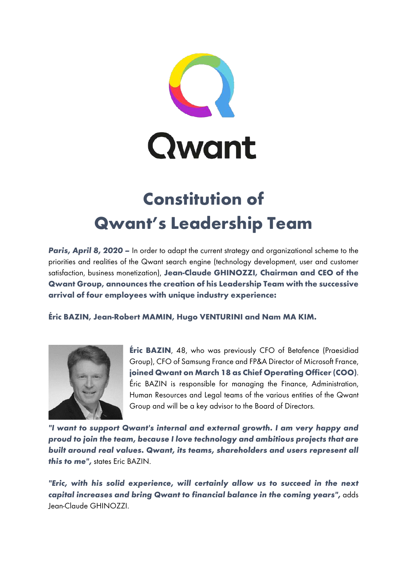

## **Constitution of Qwant's Leadership Team**

**Paris, April 8, 2020** – In order to adapt the current strategy and organizational scheme to the priorities and realities of the Qwant search engine (technology development, user and customer satisfaction, business monetization), **Jean-Claude GHINOZZI, Chairman and CEO of the Qwant Group, announces the creation of his Leadership Team with the successive arrival of four employees with unique industry experience:**

**Éric BAZIN, Jean-Robert MAMIN, Hugo VENTURINI and Nam MA KIM.**



**Éric BAZIN**, 48, who was previously CFO of Betafence (Praesidiad Group), CFO of Samsung France and FP&A Director of Microsoft France, **joined Qwant on March 18 as Chief Operating Officer (COO)**. Éric BAZIN is responsible for managing the Finance, Administration, Human Resources and Legal teams of the various entities of the Qwant Group and will be a key advisor to the Board of Directors.

*"I want to support Qwant's internal and external growth. I am very happy and proud to join the team, because I love technology and ambitious projects that are built around real values. Qwant, its teams, shareholders and users represent all this to me",* states Eric BAZIN.

*"Eric, with his solid experience, will certainly allow us to succeed in the next capital increases and bring Qwant to financial balance in the coming years",* adds Jean-Claude GHINOZZI.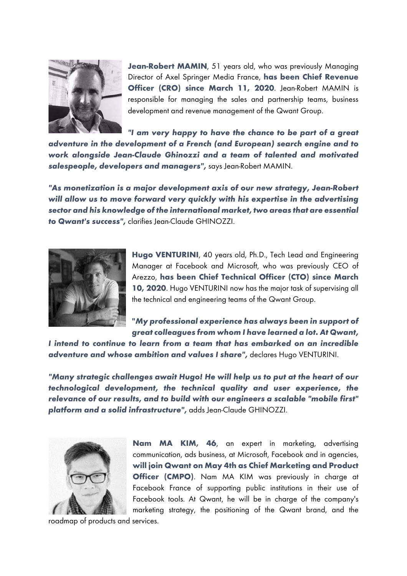

Jean-Robert MAMIN, 51 years old, who was previously Managing Director of Axel Springer Media France, **has been Chief Revenue Officer (CRO) since March 11, 2020**. Jean-Robert MAMIN is responsible for managing the sales and partnership teams, business development and revenue management of the Qwant Group.

*"I am very happy to have the chance to be part of a great adventure in the development of a French (and European) search engine and to work alongside Jean-Claude Ghinozzi and a team of talented and motivated salespeople, developers and managers",* says Jean-Robert MAMIN.

*"As monetization is a major development axis of our new strategy, Jean-Robert will allow us to move forward very quickly with his expertise in the advertising sector and his knowledge of the international market, two areas that are essential to Qwant's success",* clarifies Jean-Claude GHINOZZI.



**Hugo VENTURINI**, 40 years old, Ph.D., Tech Lead and Engineering Manager at Facebook and Microsoft, who was previously CEO of Arezzo, **has been Chief Technical Officer (CTO) since March 10, 2020**. Hugo VENTURINI now has the major task of supervising all the technical and engineering teams of the Qwant Group.

**"***My professional experience has always been in support of great colleagues from whom I have learned a lot. At Qwant,* 

*I intend to continue to learn from a team that has embarked on an incredible adventure and whose ambition and values I share",* declares Hugo VENTURINI.

*"Many strategic challenges await Hugo! He will help us to put at the heart of our technological development, the technical quality and user experience, the relevance of our results, and to build with our engineers a scalable "mobile first" platform and a solid infrastructure",* adds Jean-Claude GHINOZZI.



**Nam MA KIM, 46**, an expert in marketing, advertising communication, ads business, at Microsoft, Facebook and in agencies, **will join Qwant on May 4th as Chief Marketing and Product Officer (CMPO)**. Nam MA KIM was previously in charge at Facebook France of supporting public institutions in their use of Facebook tools. At Qwant, he will be in charge of the company's marketing strategy, the positioning of the Qwant brand, and the

roadmap of products and services.